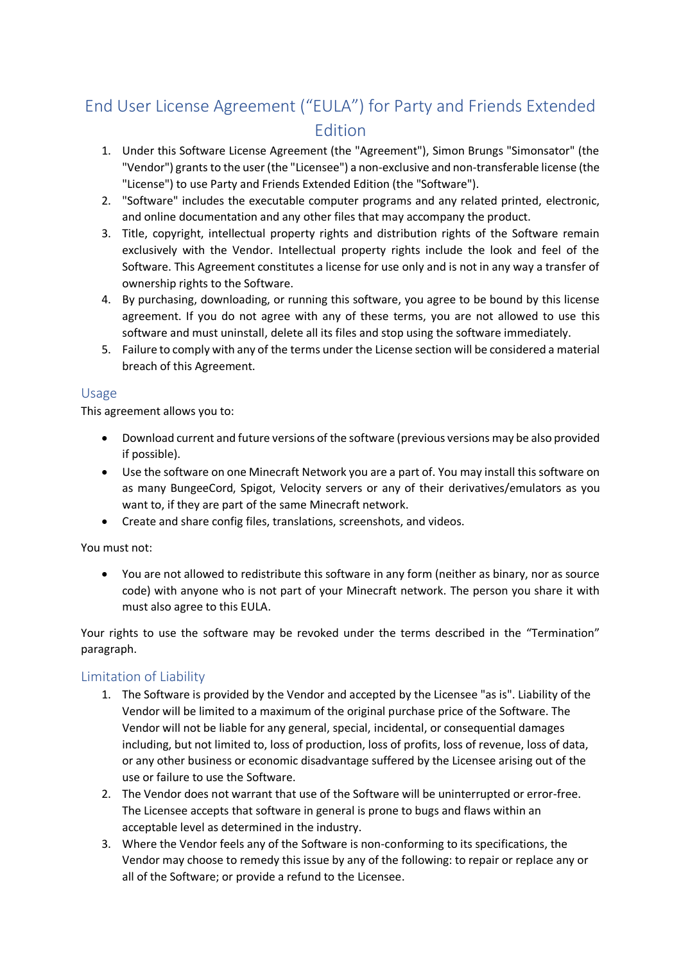# End User License Agreement ("EULA") for Party and Friends Extended Edition

- 1. Under this Software License Agreement (the "Agreement"), Simon Brungs "Simonsator" (the "Vendor") grants to the user (the "Licensee") a non-exclusive and non-transferable license (the "License") to use Party and Friends Extended Edition (the "Software").
- 2. "Software" includes the executable computer programs and any related printed, electronic, and online documentation and any other files that may accompany the product.
- 3. Title, copyright, intellectual property rights and distribution rights of the Software remain exclusively with the Vendor. Intellectual property rights include the look and feel of the Software. This Agreement constitutes a license for use only and is not in any way a transfer of ownership rights to the Software.
- 4. By purchasing, downloading, or running this software, you agree to be bound by this license agreement. If you do not agree with any of these terms, you are not allowed to use this software and must uninstall, delete all its files and stop using the software immediately.
- 5. Failure to comply with any of the terms under the License section will be considered a material breach of this Agreement.

#### Usage

This agreement allows you to:

- Download current and future versions of the software (previous versions may be also provided if possible).
- Use the software on one Minecraft Network you are a part of. You may install this software on as many BungeeCord, Spigot, Velocity servers or any of their derivatives/emulators as you want to, if they are part of the same Minecraft network.
- Create and share config files, translations, screenshots, and videos.

You must not:

• You are not allowed to redistribute this software in any form (neither as binary, nor as source code) with anyone who is not part of your Minecraft network. The person you share it with must also agree to this EULA.

Your rights to use the software may be revoked under the terms described in the "Termination" paragraph.

# Limitation of Liability

- 1. The Software is provided by the Vendor and accepted by the Licensee "as is". Liability of the Vendor will be limited to a maximum of the original purchase price of the Software. The Vendor will not be liable for any general, special, incidental, or consequential damages including, but not limited to, loss of production, loss of profits, loss of revenue, loss of data, or any other business or economic disadvantage suffered by the Licensee arising out of the use or failure to use the Software.
- 2. The Vendor does not warrant that use of the Software will be uninterrupted or error-free. The Licensee accepts that software in general is prone to bugs and flaws within an acceptable level as determined in the industry.
- 3. Where the Vendor feels any of the Software is non-conforming to its specifications, the Vendor may choose to remedy this issue by any of the following: to repair or replace any or all of the Software; or provide a refund to the Licensee.